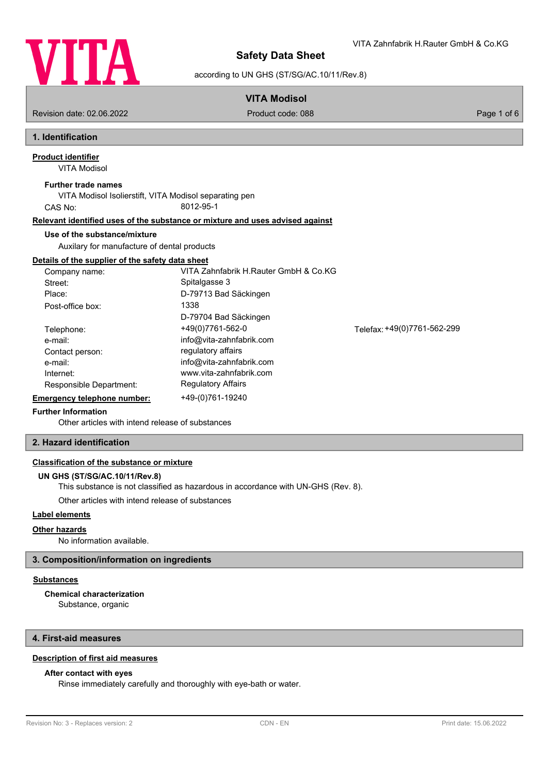

VITA Zahnfabrik H.Rauter GmbH & Co.KG

according to UN GHS (ST/SG/AC.10/11/Rev.8)

# **VITA Modisol**

Revision date: 02.06.2022 Product code: 088 Page 1 of 6

# **1. Identification**

VITA Modisol **Product identifier**

## **Further trade names**

VITA Modisol Isolierstift, VITA Modisol separating pen CAS No: 8012-95-1

## **Relevant identified uses of the substance or mixture and uses advised against**

## **Use of the substance/mixture**

Auxilary for manufacture of dental products

## **Details of the supplier of the safety data sheet**

| Company name:               | VITA Zahnfabrik H.Rauter GmbH & Co.KG |                             |
|-----------------------------|---------------------------------------|-----------------------------|
| Street:                     | Spitalgasse 3                         |                             |
| Place:                      | D-79713 Bad Säckingen                 |                             |
| Post-office box:            | 1338                                  |                             |
|                             | D-79704 Bad Säckingen                 |                             |
| Telephone:                  | +49(0)7761-562-0                      | Telefax: +49(0)7761-562-299 |
| e-mail:                     | info@vita-zahnfabrik.com              |                             |
| Contact person:             | regulatory affairs                    |                             |
| e-mail:                     | info@vita-zahnfabrik.com              |                             |
| Internet:                   | www.vita-zahnfabrik.com               |                             |
| Responsible Department:     | <b>Regulatory Affairs</b>             |                             |
| Emergency telephone number: | +49-(0)761-19240                      |                             |

## **Further Information**

Other articles with intend release [of substances](http://www.vita-zahnfabrik.com)

## **2. Hazard identification**

## **Classification of the substance or mixture**

### **UN GHS (ST/SG/AC.10/11/Rev.8)**

This substance is not classified as hazardous in accordance with UN-GHS (Rev. 8).

Other articles with intend release of substances

### **Label elements**

## **Other hazards**

No information available.

## **3. Composition/information on ingredients**

## **Substances**

**Chemical characterization**

Substance, organic

## **4. First-aid measures**

## **Description of first aid measures**

## **After contact with eyes**

Rinse immediately carefully and thoroughly with eye-bath or water.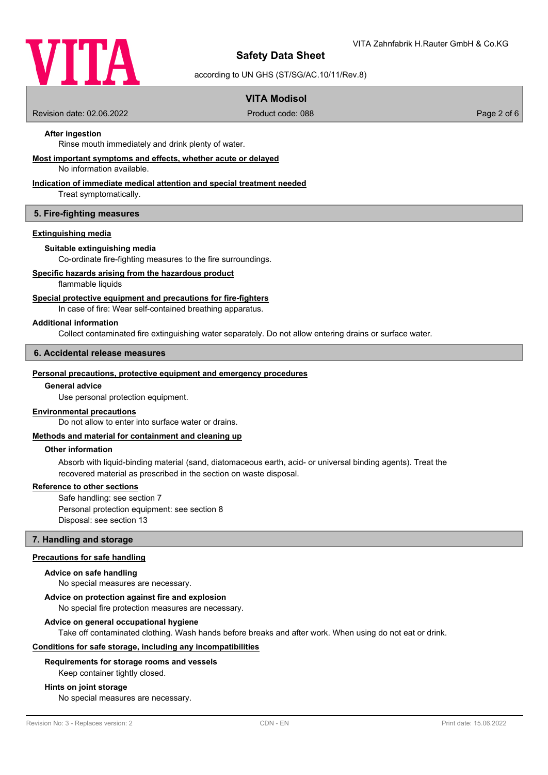

according to UN GHS (ST/SG/AC.10/11/Rev.8)

## **VITA Modisol**

Revision date: 02.06.2022 Product code: 088 Page 2 of 6

## **After ingestion**

Rinse mouth immediately and drink plenty of water.

### **Most important symptoms and effects, whether acute or delayed**

No information available.

### **Indication of immediate medical attention and special treatment needed**

Treat symptomatically.

### **5. Fire-fighting measures**

### **Extinguishing media**

### **Suitable extinguishing media**

Co-ordinate fire-fighting measures to the fire surroundings.

### **Specific hazards arising from the hazardous product**

flammable liquids

#### **Special protective equipment and precautions for fire-fighters**

In case of fire: Wear self-contained breathing apparatus.

#### **Additional information**

Collect contaminated fire extinguishing water separately. Do not allow entering drains or surface water.

### **6. Accidental release measures**

#### **Personal precautions, protective equipment and emergency procedures**

### **General advice**

Use personal protection equipment.

#### **Environmental precautions**

Do not allow to enter into surface water or drains.

### **Methods and material for containment and cleaning up**

#### **Other information**

Absorb with liquid-binding material (sand, diatomaceous earth, acid- or universal binding agents). Treat the recovered material as prescribed in the section on waste disposal.

#### **Reference to other sections**

Safe handling: see section 7 Personal protection equipment: see section 8 Disposal: see section 13

### **7. Handling and storage**

### **Precautions for safe handling**

#### **Advice on safe handling**

No special measures are necessary.

### **Advice on protection against fire and explosion**

No special fire protection measures are necessary.

#### **Advice on general occupational hygiene**

Take off contaminated clothing. Wash hands before breaks and after work. When using do not eat or drink.

### **Conditions for safe storage, including any incompatibilities**

#### **Requirements for storage rooms and vessels**

Keep container tightly closed.

#### **Hints on joint storage**

No special measures are necessary.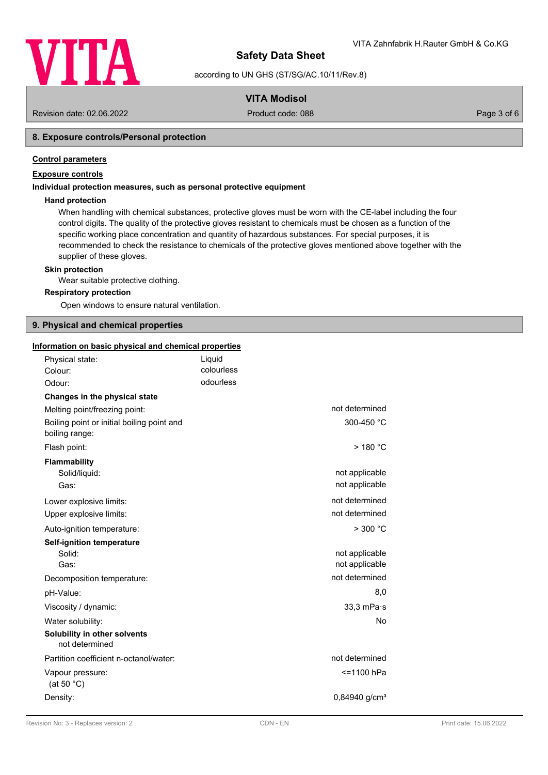

according to UN GHS (ST/SG/AC.10/11/Rev.8)

## **VITA Modisol**

Revision date: 02.06.2022 Product code: 088 Page 3 of 6

## **8. Exposure controls/Personal protection**

### **Control parameters**

## **Exposure controls**

### **Individual protection measures, such as personal protective equipment**

### **Hand protection**

When handling with chemical substances, protective gloves must be worn with the CE-label including the four control digits. The quality of the protective gloves resistant to chemicals must be chosen as a function of the specific working place concentration and quantity of hazardous substances. For special purposes, it is recommended to check the resistance to chemicals of the protective gloves mentioned above together with the supplier of these gloves.

#### **Skin protection**

Wear suitable protective clothing.

#### **Respiratory protection**

Open windows to ensure natural ventilation.

## **9. Physical and chemical properties**

| Information on basic physical and chemical properties        |            |                             |
|--------------------------------------------------------------|------------|-----------------------------|
| Physical state:                                              | Liquid     |                             |
| Colour:                                                      | colourless |                             |
| Odour:                                                       | odourless  |                             |
| Changes in the physical state                                |            |                             |
| Melting point/freezing point:                                |            | not determined              |
| Boiling point or initial boiling point and<br>boiling range: |            | 300-450 °C                  |
| Flash point:                                                 |            | $>$ 180 °C                  |
| <b>Flammability</b>                                          |            |                             |
| Solid/liquid:                                                |            | not applicable              |
| Gas:                                                         |            | not applicable              |
| Lower explosive limits:                                      |            | not determined              |
| Upper explosive limits:                                      |            | not determined              |
| Auto-ignition temperature:                                   |            | $>$ 300 $^{\circ}$ C        |
| <b>Self-ignition temperature</b>                             |            |                             |
| Solid:                                                       |            | not applicable              |
| Gas:                                                         |            | not applicable              |
| Decomposition temperature:                                   |            | not determined              |
| pH-Value:                                                    |            | 8,0                         |
| Viscosity / dynamic:                                         |            | 33,3 mPa·s                  |
| Water solubility:                                            |            | No                          |
| Solubility in other solvents<br>not determined               |            |                             |
| Partition coefficient n-octanol/water:                       |            | not determined              |
| Vapour pressure:<br>(at 50 $°C$ )                            |            | <=1100 hPa                  |
| Density:                                                     |            | $0.84940$ g/cm <sup>3</sup> |
|                                                              |            |                             |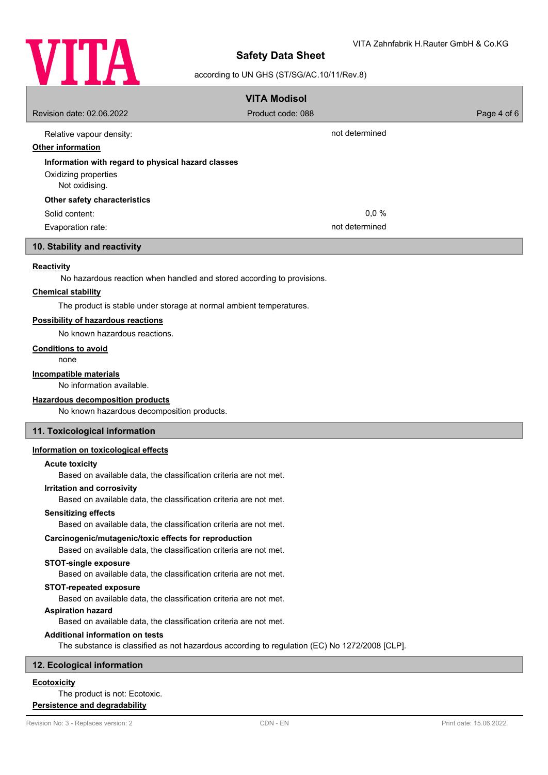

### according to UN GHS (ST/SG/AC.10/11/Rev.8)

|                                                    | <b>VITA Modisol</b> |             |
|----------------------------------------------------|---------------------|-------------|
| Revision date: 02.06.2022                          | Product code: 088   | Page 4 of 6 |
| Relative vapour density:                           | not determined      |             |
| <b>Other information</b>                           |                     |             |
| Information with regard to physical hazard classes |                     |             |
| Oxidizing properties                               |                     |             |
| Not oxidising.                                     |                     |             |
| Other safety characteristics                       |                     |             |
| Solid content:                                     | $0.0 \%$            |             |
| Evaporation rate:                                  | not determined      |             |

### **10. Stability and reactivity**

### **Reactivity**

No hazardous reaction when handled and stored according to provisions.

#### **Chemical stability**

The product is stable under storage at normal ambient temperatures.

#### **Possibility of hazardous reactions**

No known hazardous reactions.

#### **Conditions to avoid**

none

#### **Incompatible materials**

No information available.

#### **Hazardous decomposition products**

No known hazardous decomposition products.

### **11. Toxicological information**

### **Information on toxicological effects**

## **Acute toxicity**

Based on available data, the classification criteria are not met.

#### **Irritation and corrosivity**

Based on available data, the classification criteria are not met.

#### **Sensitizing effects**

Based on available data, the classification criteria are not met.

#### **Carcinogenic/mutagenic/toxic effects for reproduction**

Based on available data, the classification criteria are not met.

### **STOT-single exposure**

Based on available data, the classification criteria are not met.

### **STOT-repeated exposure**

Based on available data, the classification criteria are not met.

## **Aspiration hazard**

Based on available data, the classification criteria are not met.

### **Additional information on tests**

The substance is classified as not hazardous according to regulation (EC) No 1272/2008 [CLP].

## **12. Ecological information**

## **Ecotoxicity**

## The product is not: Ecotoxic.

**Persistence and degradability**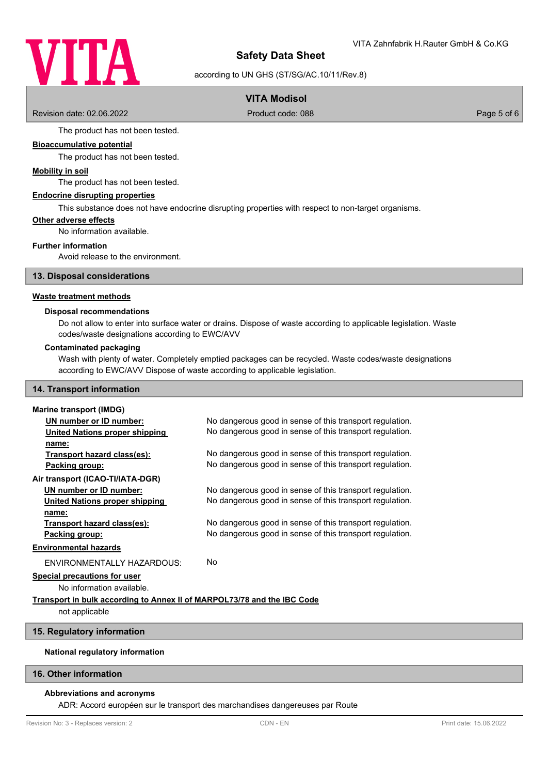

according to UN GHS (ST/SG/AC.10/11/Rev.8)

## **VITA Modisol**

Revision date: 02.06.2022 Product code: 088 Page 5 of 6

The product has not been tested.

## **Bioaccumulative potential**

The product has not been tested.

### **Mobility in soil**

The product has not been tested.

### **Endocrine disrupting properties**

This substance does not have endocrine disrupting properties with respect to non-target organisms.

#### **Other adverse effects**

No information available.

#### **Further information**

Avoid release to the environment.

### **13. Disposal considerations**

#### **Waste treatment methods**

#### **Disposal recommendations**

Do not allow to enter into surface water or drains. Dispose of waste according to applicable legislation. Waste codes/waste designations according to EWC/AVV

#### **Contaminated packaging**

Wash with plenty of water. Completely emptied packages can be recycled. Waste codes/waste designations according to EWC/AVV Dispose of waste according to applicable legislation.

## **14. Transport information**

### **Marine transport (IMDG)**

| UN number or ID number:               | No dangerous good in sense of this transport regulation. |
|---------------------------------------|----------------------------------------------------------|
| United Nations proper shipping        | No dangerous good in sense of this transport regulation. |
| name:                                 |                                                          |
| Transport hazard class(es):           | No dangerous good in sense of this transport regulation. |
| Packing group:                        | No dangerous good in sense of this transport regulation. |
| Air transport (ICAO-TI/IATA-DGR)      |                                                          |
| UN number or ID number:               | No dangerous good in sense of this transport regulation. |
| <b>United Nations proper shipping</b> | No dangerous good in sense of this transport regulation. |
| name:                                 |                                                          |
| Transport hazard class(es):           | No dangerous good in sense of this transport regulation. |
| Packing group:                        | No dangerous good in sense of this transport regulation. |
| <b>Environmental hazards</b>          |                                                          |
| ENVIRONMENTALLY HAZARDOUS:            | No                                                       |
| Special precautions for user          |                                                          |

No information available.

## **Transport in bulk according to Annex II of MARPOL73/78 and the IBC Code**

not applicable

## **15. Regulatory information**

## **National regulatory information**

### **16. Other information**

## **Abbreviations and acronyms**

ADR: Accord européen sur le transport des marchandises dangereuses par Route